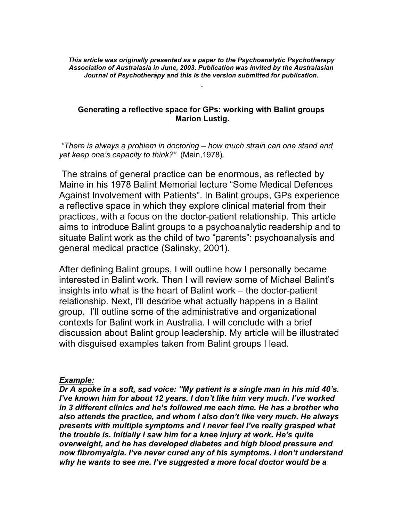*This article was originally presented as a paper to the Psychoanalytic Psychotherapy Association of Australasia in June, 2003. Publication was invited by the Australasian Journal of Psychotherapy and this is the version submitted for publication.*

### **Generating a reflective space for GPs: working with Balint groups Marion Lustig.**

*"There is always a problem in doctoring – how much strain can one stand and yet keep one's capacity to think?"* (Main,1978).

The strains of general practice can be enormous, as reflected by Maine in his 1978 Balint Memorial lecture "Some Medical Defences Against Involvement with Patients". In Balint groups, GPs experience a reflective space in which they explore clinical material from their practices, with a focus on the doctor-patient relationship. This article aims to introduce Balint groups to a psychoanalytic readership and to situate Balint work as the child of two "parents": psychoanalysis and general medical practice (Salinsky, 2001).

After defining Balint groups, I will outline how I personally became interested in Balint work. Then I will review some of Michael Balint's insights into what is the heart of Balint work – the doctor-patient relationship. Next, I'll describe what actually happens in a Balint group. I'll outline some of the administrative and organizational contexts for Balint work in Australia. I will conclude with a brief discussion about Balint group leadership. My article will be illustrated with disguised examples taken from Balint groups I lead.

### *Example:*

*Dr A spoke in a soft, sad voice: "My patient is a single man in his mid 40's. I've known him for about 12 years. I don't like him very much. I've worked in 3 different clinics and he's followed me each time. He has a brother who also attends the practice, and whom I also don't like very much. He always presents with multiple symptoms and I never feel I've really grasped what the trouble is. Initially I saw him for a knee injury at work. He's quite overweight, and he has developed diabetes and high blood pressure and now fibromyalgia. I've never cured any of his symptoms. I don't understand why he wants to see me. I've suggested a more local doctor would be a*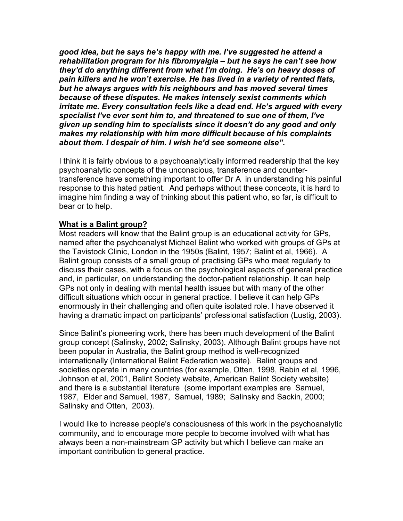*good idea, but he says he's happy with me. I've suggested he attend a rehabilitation program for his fibromyalgia – but he says he can't see how they'd do anything different from what I'm doing. He's on heavy doses of pain killers and he won't exercise. He has lived in a variety of rented flats, but he always argues with his neighbours and has moved several times because of these disputes. He makes intensely sexist comments which irritate me. Every consultation feels like a dead end. He's argued with every specialist I've ever sent him to, and threatened to sue one of them, I've given up sending him to specialists since it doesn't do any good and only makes my relationship with him more difficult because of his complaints about them. I despair of him. I wish he'd see someone else".*

I think it is fairly obvious to a psychoanalytically informed readership that the key psychoanalytic concepts of the unconscious, transference and countertransference have something important to offer Dr A in understanding his painful response to this hated patient. And perhaps without these concepts, it is hard to imagine him finding a way of thinking about this patient who, so far, is difficult to bear or to help.

### **What is a Balint group?**

Most readers will know that the Balint group is an educational activity for GPs, named after the psychoanalyst Michael Balint who worked with groups of GPs at the Tavistock Clinic, London in the 1950s (Balint, 1957; Balint et al, 1966). A Balint group consists of a small group of practising GPs who meet regularly to discuss their cases, with a focus on the psychological aspects of general practice and, in particular, on understanding the doctor-patient relationship. It can help GPs not only in dealing with mental health issues but with many of the other difficult situations which occur in general practice. I believe it can help GPs enormously in their challenging and often quite isolated role. I have observed it having a dramatic impact on participants' professional satisfaction (Lustig, 2003).

Since Balint's pioneering work, there has been much development of the Balint group concept (Salinsky, 2002; Salinsky, 2003). Although Balint groups have not been popular in Australia, the Balint group method is well-recognized internationally (International Balint Federation website). Balint groups and societies operate in many countries (for example, Otten, 1998, Rabin et al, 1996, Johnson et al, 2001, Balint Society website, American Balint Society website) and there is a substantial literature (some important examples are Samuel, 1987, Elder and Samuel, 1987, Samuel, 1989; Salinsky and Sackin, 2000; Salinsky and Otten, 2003).

I would like to increase people's consciousness of this work in the psychoanalytic community, and to encourage more people to become involved with what has always been a non-mainstream GP activity but which I believe can make an important contribution to general practice.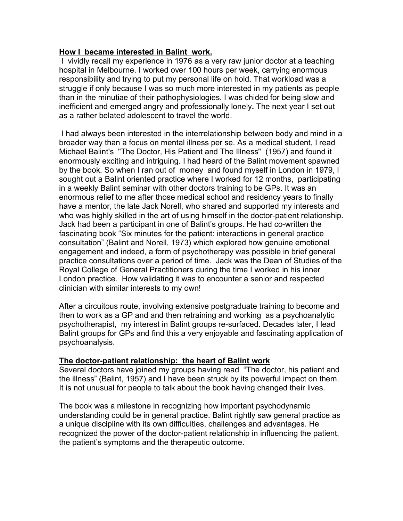### **How I became interested in Balint work.**

I vividly recall my experience in 1976 as a very raw junior doctor at a teaching hospital in Melbourne. I worked over 100 hours per week, carrying enormous responsibility and trying to put my personal life on hold. That workload was a struggle if only because I was so much more interested in my patients as people than in the minutiae of their pathophysiologies. I was chided for being slow and inefficient and emerged angry and professionally lonely**.** The next year I set out as a rather belated adolescent to travel the world.

I had always been interested in the interrelationship between body and mind in a broader way than a focus on mental illness per se. As a medical student, I read Michael Balint's "The Doctor, His Patient and The Illness" (1957) and found it enormously exciting and intriguing. I had heard of the Balint movement spawned by the book. So when I ran out of money and found myself in London in 1979, I sought out a Balint oriented practice where I worked for 12 months, participating in a weekly Balint seminar with other doctors training to be GPs. It was an enormous relief to me after those medical school and residency years to finally have a mentor, the late Jack Norell, who shared and supported my interests and who was highly skilled in the art of using himself in the doctor-patient relationship. Jack had been a participant in one of Balint's groups. He had co-written the fascinating book "Six minutes for the patient: interactions in general practice consultation" (Balint and Norell, 1973) which explored how genuine emotional engagement and indeed, a form of psychotherapy was possible in brief general practice consultations over a period of time. Jack was the Dean of Studies of the Royal College of General Practitioners during the time I worked in his inner London practice. How validating it was to encounter a senior and respected clinician with similar interests to my own!

After a circuitous route, involving extensive postgraduate training to become and then to work as a GP and and then retraining and working as a psychoanalytic psychotherapist, my interest in Balint groups re-surfaced. Decades later, I lead Balint groups for GPs and find this a very enjoyable and fascinating application of psychoanalysis.

# **The doctor-patient relationship: the heart of Balint work**

Several doctors have joined my groups having read "The doctor, his patient and the illness" (Balint, 1957) and I have been struck by its powerful impact on them. It is not unusual for people to talk about the book having changed their lives.

The book was a milestone in recognizing how important psychodynamic understanding could be in general practice. Balint rightly saw general practice as a unique discipline with its own difficulties, challenges and advantages. He recognized the power of the doctor-patient relationship in influencing the patient, the patient's symptoms and the therapeutic outcome.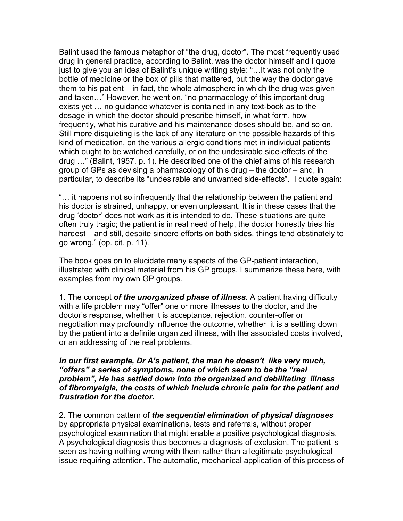Balint used the famous metaphor of "the drug, doctor". The most frequently used drug in general practice, according to Balint, was the doctor himself and I quote just to give you an idea of Balint's unique writing style: "…It was not only the bottle of medicine or the box of pills that mattered, but the way the doctor gave them to his patient – in fact, the whole atmosphere in which the drug was given and taken…" However, he went on, "no pharmacology of this important drug exists yet … no guidance whatever is contained in any text-book as to the dosage in which the doctor should prescribe himself, in what form, how frequently, what his curative and his maintenance doses should be, and so on. Still more disquieting is the lack of any literature on the possible hazards of this kind of medication, on the various allergic conditions met in individual patients which ought to be watched carefully, or on the undesirable side-effects of the drug …" (Balint, 1957, p. 1). He described one of the chief aims of his research group of GPs as devising a pharmacology of this drug – the doctor – and, in particular, to describe its "undesirable and unwanted side-effects". I quote again:

"… it happens not so infrequently that the relationship between the patient and his doctor is strained, unhappy, or even unpleasant. It is in these cases that the drug 'doctor' does not work as it is intended to do. These situations are quite often truly tragic; the patient is in real need of help, the doctor honestly tries his hardest – and still, despite sincere efforts on both sides, things tend obstinately to go wrong." (op. cit. p. 11).

The book goes on to elucidate many aspects of the GP-patient interaction, illustrated with clinical material from his GP groups. I summarize these here, with examples from my own GP groups.

1. The concept *of the unorganized phase of illness*. A patient having difficulty with a life problem may "offer" one or more illnesses to the doctor, and the doctor's response, whether it is acceptance, rejection, counter-offer or negotiation may profoundly influence the outcome, whether it is a settling down by the patient into a definite organized illness, with the associated costs involved, or an addressing of the real problems.

#### *In our first example, Dr A's patient, the man he doesn't like very much, "offers" a series of symptoms, none of which seem to be the "real problem", He has settled down into the organized and debilitating illness of fibromyalgia, the costs of which include chronic pain for the patient and frustration for the doctor.*

2. The common pattern of *the sequential elimination of physical diagnoses* by appropriate physical examinations, tests and referrals, without proper psychological examination that might enable a positive psychological diagnosis. A psychological diagnosis thus becomes a diagnosis of exclusion. The patient is seen as having nothing wrong with them rather than a legitimate psychological issue requiring attention. The automatic, mechanical application of this process of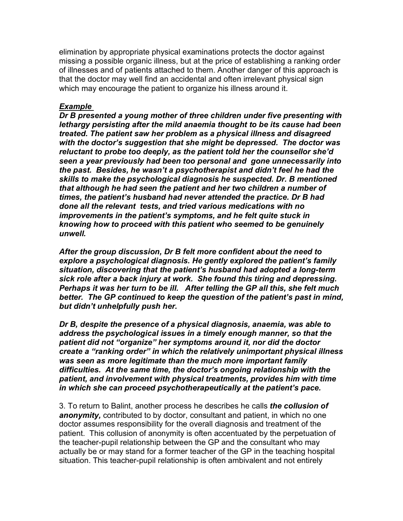elimination by appropriate physical examinations protects the doctor against missing a possible organic illness, but at the price of establishing a ranking order of illnesses and of patients attached to them. Another danger of this approach is that the doctor may well find an accidental and often irrelevant physical sign which may encourage the patient to organize his illness around it.

### *Example*

*Dr B presented a young mother of three children under five presenting with lethargy persisting after the mild anaemia thought to be its cause had been treated. The patient saw her problem as a physical illness and disagreed with the doctor's suggestion that she might be depressed. The doctor was reluctant to probe too deeply, as the patient told her the counsellor she'd seen a year previously had been too personal and gone unnecessarily into the past. Besides, he wasn't a psychotherapist and didn't feel he had the skills to make the psychological diagnosis he suspected. Dr. B mentioned that although he had seen the patient and her two children a number of times, the patient's husband had never attended the practice. Dr B had done all the relevant tests, and tried various medications with no improvements in the patient's symptoms, and he felt quite stuck in knowing how to proceed with this patient who seemed to be genuinely unwell.*

*After the group discussion, Dr B felt more confident about the need to explore a psychological diagnosis. He gently explored the patient's family situation, discovering that the patient's husband had adopted a long-term sick role after a back injury at work. She found this tiring and depressing. Perhaps it was her turn to be ill. After telling the GP all this, she felt much better. The GP continued to keep the question of the patient's past in mind, but didn't unhelpfully push her.*

*Dr B, despite the presence of a physical diagnosis, anaemia, was able to address the psychological issues in a timely enough manner, so that the patient did not "organize" her symptoms around it, nor did the doctor create a "ranking order" in which the relatively unimportant physical illness was seen as more legitimate than the much more important family difficulties. At the same time, the doctor's ongoing relationship with the patient, and involvement with physical treatments, provides him with time in which she can proceed psychotherapeutically at the patient's pace.*

3. To return to Balint, another process he describes he calls *the collusion of anonymity,* contributed to by doctor, consultant and patient, in which no one doctor assumes responsibility for the overall diagnosis and treatment of the patient. This collusion of anonymity is often accentuated by the perpetuation of the teacher-pupil relationship between the GP and the consultant who may actually be or may stand for a former teacher of the GP in the teaching hospital situation. This teacher-pupil relationship is often ambivalent and not entirely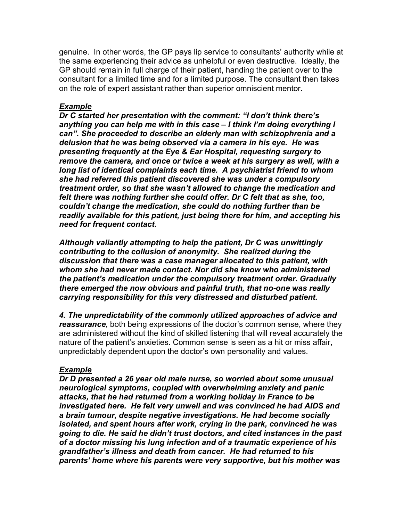genuine. In other words, the GP pays lip service to consultants' authority while at the same experiencing their advice as unhelpful or even destructive. Ideally, the GP should remain in full charge of their patient, handing the patient over to the consultant for a limited time and for a limited purpose. The consultant then takes on the role of expert assistant rather than superior omniscient mentor.

### *Example*

*Dr C started her presentation with the comment: "I don't think there's anything you can help me with in this case – I think I'm doing everything I can". She proceeded to describe an elderly man with schizophrenia and a delusion that he was being observed via a camera in his eye. He was presenting frequently at the Eye & Ear Hospital, requesting surgery to remove the camera, and once or twice a week at his surgery as well, with a long list of identical complaints each time. A psychiatrist friend to whom she had referred this patient discovered she was under a compulsory treatment order, so that she wasn't allowed to change the medication and felt there was nothing further she could offer. Dr C felt that as she, too, couldn't change the medication, she could do nothing further than be readily available for this patient, just being there for him, and accepting his need for frequent contact.*

*Although valiantly attempting to help the patient, Dr C was unwittingly contributing to the collusion of anonymity. She realized during the discussion that there was a case manager allocated to this patient, with whom she had never made contact. Nor did she know who administered the patient's medication under the compulsory treatment order. Gradually there emerged the now obvious and painful truth, that no-one was really carrying responsibility for this very distressed and disturbed patient.*

*4. The unpredictability of the commonly utilized approaches of advice and reassurance*, both being expressions of the doctor's common sense, where they are administered without the kind of skilled listening that will reveal accurately the nature of the patient's anxieties. Common sense is seen as a hit or miss affair, unpredictably dependent upon the doctor's own personality and values.

# *Example*

*Dr D presented a 26 year old male nurse, so worried about some unusual neurological symptoms, coupled with overwhelming anxiety and panic attacks, that he had returned from a working holiday in France to be investigated here. He felt very unwell and was convinced he had AIDS and a brain tumour, despite negative investigations. He had become socially isolated, and spent hours after work, crying in the park, convinced he was going to die. He said he didn't trust doctors, and cited instances in the past of a doctor missing his lung infection and of a traumatic experience of his grandfather's illness and death from cancer. He had returned to his parents' home where his parents were very supportive, but his mother was*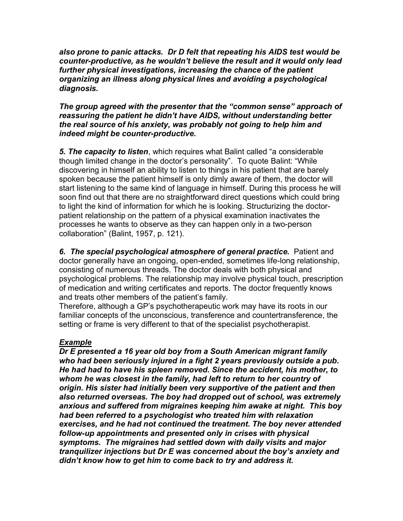*also prone to panic attacks. Dr D felt that repeating his AIDS test would be counter-productive, as he wouldn't believe the result and it would only lead further physical investigations, increasing the chance of the patient organizing an illness along physical lines and avoiding a psychological diagnosis.*

### *The group agreed with the presenter that the "common sense" approach of reassuring the patient he didn't have AIDS, without understanding better the real source of his anxiety, was probably not going to help him and indeed might be counter-productive.*

*5. The capacity to listen*, which requires what Balint called "a considerable though limited change in the doctor's personality". To quote Balint: "While discovering in himself an ability to listen to things in his patient that are barely spoken because the patient himself is only dimly aware of them, the doctor will start listening to the same kind of language in himself. During this process he will soon find out that there are no straightforward direct questions which could bring to light the kind of information for which he is looking. Structurizing the doctorpatient relationship on the pattern of a physical examination inactivates the processes he wants to observe as they can happen only in a two-person collaboration" (Balint, 1957, p. 121).

*6. The special psychological atmosphere of general practice.* Patient and doctor generally have an ongoing, open-ended, sometimes life-long relationship, consisting of numerous threads. The doctor deals with both physical and psychological problems. The relationship may involve physical touch, prescription of medication and writing certificates and reports. The doctor frequently knows and treats other members of the patient's family.

Therefore, although a GP's psychotherapeutic work may have its roots in our familiar concepts of the unconscious, transference and countertransference, the setting or frame is very different to that of the specialist psychotherapist.

# *Example*

*Dr E presented a 16 year old boy from a South American migrant family who had been seriously injured in a fight 2 years previously outside a pub. He had had to have his spleen removed. Since the accident, his mother, to whom he was closest in the family, had left to return to her country of origin. His sister had initially been very supportive of the patient and then also returned overseas. The boy had dropped out of school, was extremely anxious and suffered from migraines keeping him awake at night. This boy had been referred to a psychologist who treated him with relaxation exercises, and he had not continued the treatment. The boy never attended follow-up appointments and presented only in crises with physical symptoms. The migraines had settled down with daily visits and major tranquilizer injections but Dr E was concerned about the boy's anxiety and didn't know how to get him to come back to try and address it.*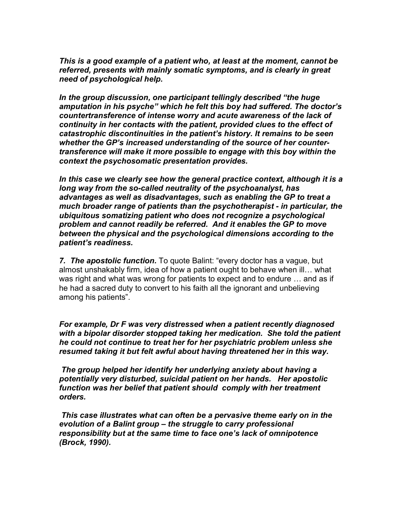*This is a good example of a patient who, at least at the moment, cannot be referred, presents with mainly somatic symptoms, and is clearly in great need of psychological help.*

*In the group discussion, one participant tellingly described "the huge amputation in his psyche" which he felt this boy had suffered. The doctor's countertransference of intense worry and acute awareness of the lack of continuity in her contacts with the patient, provided clues to the effect of catastrophic discontinuities in the patient's history. It remains to be seen whether the GP's increased understanding of the source of her countertransference will make it more possible to engage with this boy within the context the psychosomatic presentation provides.*

*In this case we clearly see how the general practice context, although it is a long way from the so-called neutrality of the psychoanalyst, has advantages as well as disadvantages, such as enabling the GP to treat a much broader range of patients than the psychotherapist - in particular, the ubiquitous somatizing patient who does not recognize a psychological problem and cannot readily be referred. And it enables the GP to move between the physical and the psychological dimensions according to the patient's readiness.*

*7. The apostolic function.* To quote Balint: "every doctor has a vague, but almost unshakably firm, idea of how a patient ought to behave when ill… what was right and what was wrong for patients to expect and to endure … and as if he had a sacred duty to convert to his faith all the ignorant and unbelieving among his patients".

*For example, Dr F was very distressed when a patient recently diagnosed with a bipolar disorder stopped taking her medication. She told the patient he could not continue to treat her for her psychiatric problem unless she resumed taking it but felt awful about having threatened her in this way.*

*The group helped her identify her underlying anxiety about having a potentially very disturbed, suicidal patient on her hands. Her apostolic function was her belief that patient should comply with her treatment orders.*

*This case illustrates what can often be a pervasive theme early on in the evolution of a Balint group – the struggle to carry professional responsibility but at the same time to face one's lack of omnipotence (Brock, 1990).*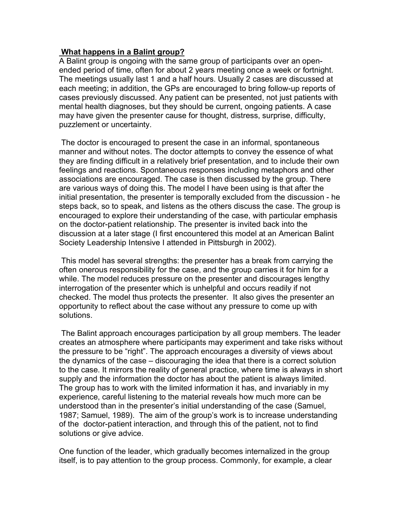### **What happens in a Balint group?**

A Balint group is ongoing with the same group of participants over an openended period of time, often for about 2 years meeting once a week or fortnight. The meetings usually last 1 and a half hours. Usually 2 cases are discussed at each meeting; in addition, the GPs are encouraged to bring follow-up reports of cases previously discussed. Any patient can be presented, not just patients with mental health diagnoses, but they should be current, ongoing patients. A case may have given the presenter cause for thought, distress, surprise, difficulty, puzzlement or uncertainty.

The doctor is encouraged to present the case in an informal, spontaneous manner and without notes. The doctor attempts to convey the essence of what they are finding difficult in a relatively brief presentation, and to include their own feelings and reactions. Spontaneous responses including metaphors and other associations are encouraged. The case is then discussed by the group. There are various ways of doing this. The model I have been using is that after the initial presentation, the presenter is temporally excluded from the discussion - he steps back, so to speak, and listens as the others discuss the case. The group is encouraged to explore their understanding of the case, with particular emphasis on the doctor-patient relationship. The presenter is invited back into the discussion at a later stage (I first encountered this model at an American Balint Society Leadership Intensive I attended in Pittsburgh in 2002).

This model has several strengths: the presenter has a break from carrying the often onerous responsibility for the case, and the group carries it for him for a while. The model reduces pressure on the presenter and discourages lengthy interrogation of the presenter which is unhelpful and occurs readily if not checked. The model thus protects the presenter. It also gives the presenter an opportunity to reflect about the case without any pressure to come up with solutions.

The Balint approach encourages participation by all group members. The leader creates an atmosphere where participants may experiment and take risks without the pressure to be "right". The approach encourages a diversity of views about the dynamics of the case – discouraging the idea that there is a correct solution to the case. It mirrors the reality of general practice, where time is always in short supply and the information the doctor has about the patient is always limited. The group has to work with the limited information it has, and invariably in my experience, careful listening to the material reveals how much more can be understood than in the presenter's initial understanding of the case (Samuel, 1987; Samuel, 1989). The aim of the group's work is to increase understanding of the doctor-patient interaction, and through this of the patient, not to find solutions or give advice.

One function of the leader, which gradually becomes internalized in the group itself, is to pay attention to the group process. Commonly, for example, a clear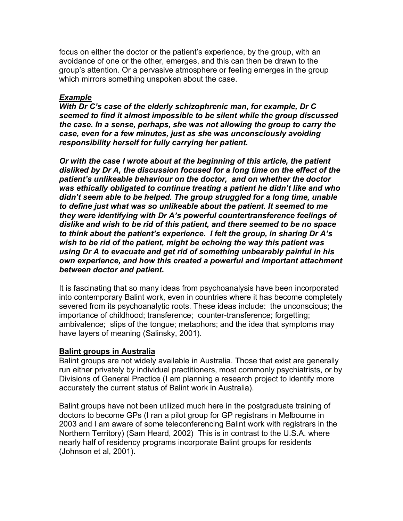focus on either the doctor or the patient's experience, by the group, with an avoidance of one or the other, emerges, and this can then be drawn to the group's attention. Or a pervasive atmosphere or feeling emerges in the group which mirrors something unspoken about the case.

## *Example*

*With Dr C's case of the elderly schizophrenic man, for example, Dr C seemed to find it almost impossible to be silent while the group discussed the case. In a sense, perhaps, she was not allowing the group to carry the case, even for a few minutes, just as she was unconsciously avoiding responsibility herself for fully carrying her patient.*

*Or with the case I wrote about at the beginning of this article, the patient disliked by Dr A, the discussion focused for a long time on the effect of the patient's unlikeable behaviour on the doctor, and on whether the doctor was ethically obligated to continue treating a patient he didn't like and who didn't seem able to be helped. The group struggled for a long time, unable to define just what was so unlikeable about the patient. It seemed to me they were identifying with Dr A's powerful countertransference feelings of dislike and wish to be rid of this patient, and there seemed to be no space to think about the patient's experience. I felt the group, in sharing Dr A's wish to be rid of the patient, might be echoing the way this patient was using Dr A to evacuate and get rid of something unbearably painful in his own experience, and how this created a powerful and important attachment between doctor and patient.*

It is fascinating that so many ideas from psychoanalysis have been incorporated into contemporary Balint work, even in countries where it has become completely severed from its psychoanalytic roots. These ideas include: the unconscious; the importance of childhood; transference; counter-transference; forgetting; ambivalence; slips of the tongue; metaphors; and the idea that symptoms may have layers of meaning (Salinsky, 2001).

### **Balint groups in Australia**

Balint groups are not widely available in Australia. Those that exist are generally run either privately by individual practitioners, most commonly psychiatrists, or by Divisions of General Practice (I am planning a research project to identify more accurately the current status of Balint work in Australia).

Balint groups have not been utilized much here in the postgraduate training of doctors to become GPs (I ran a pilot group for GP registrars in Melbourne in 2003 and I am aware of some teleconferencing Balint work with registrars in the Northern Territory) (Sam Heard, 2002) This is in contrast to the U.S.A. where nearly half of residency programs incorporate Balint groups for residents (Johnson et al, 2001).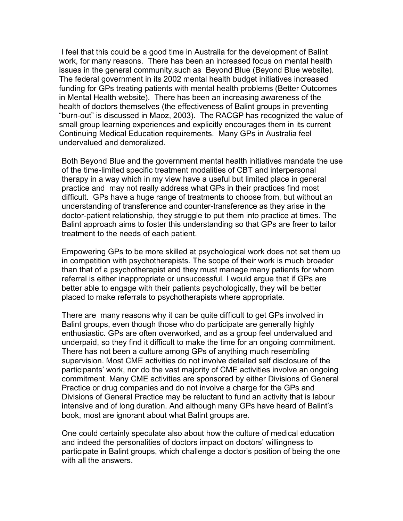I feel that this could be a good time in Australia for the development of Balint work, for many reasons. There has been an increased focus on mental health issues in the general community,such as Beyond Blue (Beyond Blue website). The federal government in its 2002 mental health budget initiatives increased funding for GPs treating patients with mental health problems (Better Outcomes in Mental Health website). There has been an increasing awareness of the health of doctors themselves (the effectiveness of Balint groups in preventing "burn-out" is discussed in Maoz, 2003). The RACGP has recognized the value of small group learning experiences and explicitly encourages them in its current Continuing Medical Education requirements. Many GPs in Australia feel undervalued and demoralized.

Both Beyond Blue and the government mental health initiatives mandate the use of the time-limited specific treatment modalities of CBT and interpersonal therapy in a way which in my view have a useful but limited place in general practice and may not really address what GPs in their practices find most difficult. GPs have a huge range of treatments to choose from, but without an understanding of transference and counter-transference as they arise in the doctor-patient relationship, they struggle to put them into practice at times. The Balint approach aims to foster this understanding so that GPs are freer to tailor treatment to the needs of each patient.

Empowering GPs to be more skilled at psychological work does not set them up in competition with psychotherapists. The scope of their work is much broader than that of a psychotherapist and they must manage many patients for whom referral is either inappropriate or unsuccessful. I would argue that if GPs are better able to engage with their patients psychologically, they will be better placed to make referrals to psychotherapists where appropriate.

There are many reasons why it can be quite difficult to get GPs involved in Balint groups, even though those who do participate are generally highly enthusiastic. GPs are often overworked, and as a group feel undervalued and underpaid, so they find it difficult to make the time for an ongoing commitment. There has not been a culture among GPs of anything much resembling supervision. Most CME activities do not involve detailed self disclosure of the participants' work, nor do the vast majority of CME activities involve an ongoing commitment. Many CME activities are sponsored by either Divisions of General Practice or drug companies and do not involve a charge for the GPs and Divisions of General Practice may be reluctant to fund an activity that is labour intensive and of long duration. And although many GPs have heard of Balint's book, most are ignorant about what Balint groups are.

One could certainly speculate also about how the culture of medical education and indeed the personalities of doctors impact on doctors' willingness to participate in Balint groups, which challenge a doctor's position of being the one with all the answers.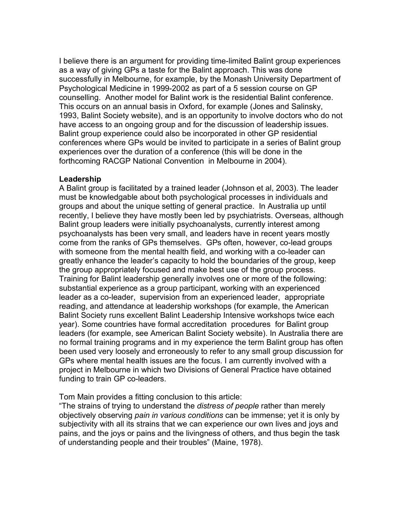I believe there is an argument for providing time-limited Balint group experiences as a way of giving GPs a taste for the Balint approach. This was done successfully in Melbourne, for example, by the Monash University Department of Psychological Medicine in 1999-2002 as part of a 5 session course on GP counselling. Another model for Balint work is the residential Balint conference. This occurs on an annual basis in Oxford, for example (Jones and Salinsky, 1993, Balint Society website), and is an opportunity to involve doctors who do not have access to an ongoing group and for the discussion of leadership issues. Balint group experience could also be incorporated in other GP residential conferences where GPs would be invited to participate in a series of Balint group experiences over the duration of a conference (this will be done in the forthcoming RACGP National Convention in Melbourne in 2004).

#### **Leadership**

A Balint group is facilitated by a trained leader (Johnson et al, 2003). The leader must be knowledgable about both psychological processes in individuals and groups and about the unique setting of general practice. In Australia up until recently, I believe they have mostly been led by psychiatrists. Overseas, although Balint group leaders were initially psychoanalysts, currently interest among psychoanalysts has been very small, and leaders have in recent years mostly come from the ranks of GPs themselves. GPs often, however, co-lead groups with someone from the mental health field, and working with a co-leader can greatly enhance the leader's capacity to hold the boundaries of the group, keep the group appropriately focused and make best use of the group process. Training for Balint leadership generally involves one or more of the following: substantial experience as a group participant, working with an experienced leader as a co-leader, supervision from an experienced leader, appropriate reading, and attendance at leadership workshops (for example, the American Balint Society runs excellent Balint Leadership Intensive workshops twice each year). Some countries have formal accreditation procedures for Balint group leaders (for example, see American Balint Society website). In Australia there are no formal training programs and in my experience the term Balint group has often been used very loosely and erroneously to refer to any small group discussion for GPs where mental health issues are the focus. I am currently involved with a project in Melbourne in which two Divisions of General Practice have obtained funding to train GP co-leaders.

Tom Main provides a fitting conclusion to this article:

"The strains of trying to understand the *distress of people* rather than merely objectively observing *pain in various conditions* can be immense; yet it is only by subjectivity with all its strains that we can experience our own lives and joys and pains, and the joys or pains and the livingness of others, and thus begin the task of understanding people and their troubles" (Maine, 1978).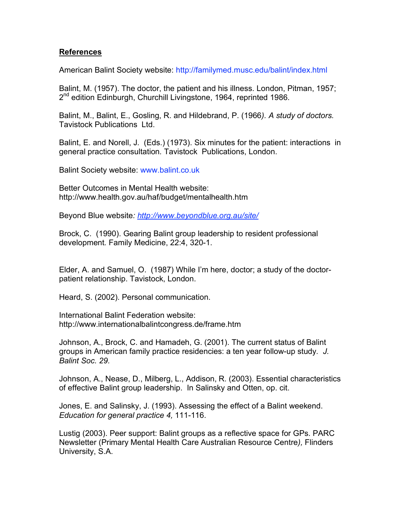### **References**

American Balint Society website: http://familymed.musc.edu/balint/index.html

Balint, M. (1957). The doctor, the patient and his illness. London, Pitman, 1957; 2<sup>nd</sup> edition Edinburgh, Churchill Livingstone, 1964, reprinted 1986.

Balint, M., Balint, E., Gosling, R. and Hildebrand, P. (1966*). A study of doctors.* Tavistock Publications Ltd.

Balint, E. and Norell, J. (Eds.) (1973). Six minutes for the patient: interactions in general practice consultation*.* Tavistock Publications, London.

Balint Society website: www.balint.co.uk

Better Outcomes in Mental Health website: http://www.health.gov.au/haf/budget/mentalhealth.htm

Beyond Blue website*: http://www.beyondblue.org.au/site/*

Brock, C. (1990). Gearing Balint group leadership to resident professional development*.* Family Medicine, 22:4, 320-1.

Elder, A. and Samuel, O. (1987) While I'm here, doctor; a study of the doctorpatient relationship. Tavistock, London.

Heard, S. (2002). Personal communication.

International Balint Federation website: http://www.internationalbalintcongress.de/frame.htm

Johnson, A., Brock, C. and Hamadeh, G. (2001). The current status of Balint groups in American family practice residencies: a ten year follow-up study*. J. Balint Soc. 29.*

Johnson, A., Nease, D., Milberg, L., Addison, R. (2003). Essential characteristics of effective Balint group leadership. In Salinsky and Otten, op. cit.

Jones, E. and Salinsky, J. (1993). Assessing the effect of a Balint weekend. *Education for general practice 4,* 111-116.

Lustig (2003). Peer support: Balint groups as a reflective space for GPs. PARC Newsletter (Primary Mental Health Care Australian Resource Centre*),* Flinders University, S.A.